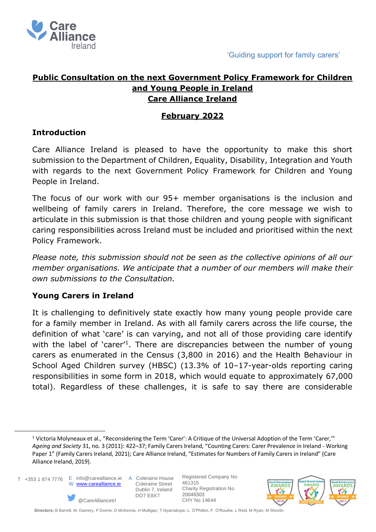

# **Public Consultation on the next Government Policy Framework for Children and Young People in Ireland Care Alliance Ireland**

# **February 2022**

# **Introduction**

Care Alliance Ireland is pleased to have the opportunity to make this short submission to the Department of Children, Equality, Disability, Integration and Youth with regards to the next Government Policy Framework for Children and Young People in Ireland.

The focus of our work with our 95+ member organisations is the inclusion and wellbeing of family carers in Ireland. Therefore, the core message we wish to articulate in this submission is that those children and young people with significant caring responsibilities across Ireland must be included and prioritised within the next Policy Framework.

*Please note, this submission should not be seen as the collective opinions of all our member organisations. We anticipate that a number of our members will make their own submissions to the Consultation.* 

### **Young Carers in Ireland**

It is challenging to definitively state exactly how many young people provide care for a family member in Ireland. As with all family carers across the life course, the definition of what 'care' is can varying, and not all of those providing care identify with the label of 'carer'<sup>1</sup>. There are discrepancies between the number of young carers as enumerated in the Census (3,800 in 2016) and the Health Behaviour in School Aged Children survey (HBSC) (13.3% of 10–17-year-olds reporting caring responsibilities in some form in 2018, which would equate to approximately 67,000 total). Regardless of these challenges, it is safe to say there are considerable

T +353 1 874 7776 E info@carealliance.ie A Coleraine House W [www.carealliance.ie](http://www.carealliance.ie/)



 Coleraine Street Dublin 7, Ireland DO7 E8X7

Registered Company No 461315 Charity Registration No 20048303 CHY No 14644



<sup>&</sup>lt;sup>1</sup> Victoria Molyneaux et al., "Reconsidering the Term 'Carer': A Critique of the Universal Adoption of the Term 'Carer,"" *Ageing and Society* 31, no. 3 (2011): 422–37; Family Carers Ireland, "Counting Carers: Carer Prevalence in Ireland - Working Paper 1" (Family Carers Ireland, 2021); Care Alliance Ireland, "Estimates for Numbers of Family Carers in Ireland" (Care Alliance Ireland, 2019).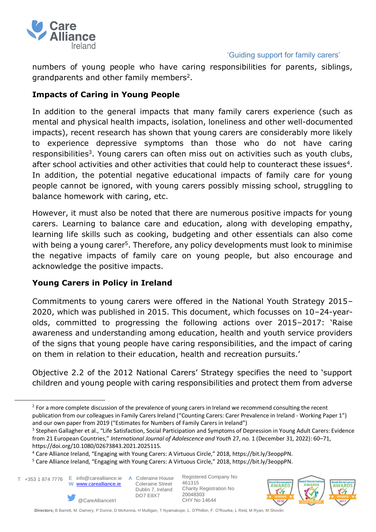

numbers of young people who have caring responsibilities for parents, siblings, grandparents and other family members<sup>2</sup>.

### **Impacts of Caring in Young People**

In addition to the general impacts that many family carers experience (such as mental and physical health impacts, isolation, loneliness and other well-documented impacts), recent research has shown that young carers are considerably more likely to experience depressive symptoms than those who do not have caring responsibilities<sup>3</sup>. Young carers can often miss out on activities such as youth clubs, after school activities and other activities that could help to counteract these issues<sup>4</sup>. In addition, the potential negative educational impacts of family care for young people cannot be ignored, with young carers possibly missing school, struggling to balance homework with caring, etc.

However, it must also be noted that there are numerous positive impacts for young carers. Learning to balance care and education, along with developing empathy, learning life skills such as cooking, budgeting and other essentials can also come with being a young carer<sup>5</sup>. Therefore, any policy developments must look to minimise the negative impacts of family care on young people, but also encourage and acknowledge the positive impacts.

### **Young Carers in Policy in Ireland**

Commitments to young carers were offered in the National Youth Strategy 2015– 2020, which was published in 2015. This document, which focusses on 10–24-yearolds, committed to progressing the following actions over 2015–2017: 'Raise awareness and understanding among education, health and youth service providers of the signs that young people have caring responsibilities, and the impact of caring on them in relation to their education, health and recreation pursuits.'

Objective 2.2 of the 2012 National Carers' Strategy specifies the need to 'support children and young people with caring responsibilities and protect them from adverse

E info@carealliance.ie T +353 1 874 7776



A Coleraine House Coleraine Street Dublin 7, Ireland DO7 E8X7

Registered Company No 461315 Charity Registration No 20048303 CHY No 14644



 $2$  For a more complete discussion of the prevalence of young carers in Ireland we recommend consulting the recent publication from our colleagues in Family Carers Ireland ("Counting Carers: Carer Prevalence in Ireland - Working Paper 1") and our own paper from 2019 ("Estimates for Numbers of Family Carers in Ireland")

<sup>&</sup>lt;sup>3</sup> Stephen Gallagher et al., "Life Satisfaction, Social Participation and Symptoms of Depression in Young Adult Carers: Evidence from 21 European Countries," *International Journal of Adolescence and Youth* 27, no. 1 (December 31, 2022): 60–71, https://doi.org/10.1080/02673843.2021.2025115.

<sup>4</sup> Care Alliance Ireland, "Engaging with Young Carers: A Virtuous Circle," 2018, https://bit.ly/3eoppPN.

<sup>5</sup> Care Alliance Ireland, "Engaging with Young Carers: A Virtuous Circle," 2018, https://bit.ly/3eoppPN.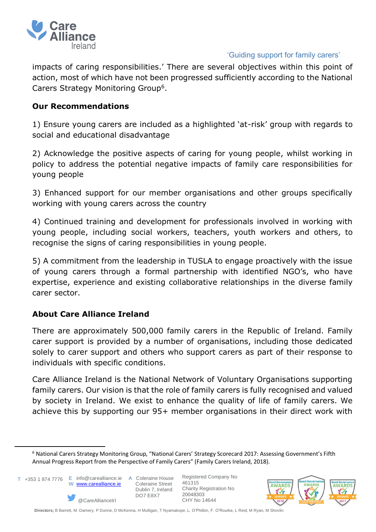

impacts of caring responsibilities.' There are several objectives within this point of action, most of which have not been progressed sufficiently according to the National Carers Strategy Monitoring Group<sup>6</sup>.

#### **Our Recommendations**

1) Ensure young carers are included as a highlighted 'at-risk' group with regards to social and educational disadvantage

2) Acknowledge the positive aspects of caring for young people, whilst working in policy to address the potential negative impacts of family care responsibilities for young people

3) Enhanced support for our member organisations and other groups specifically working with young carers across the country

4) Continued training and development for professionals involved in working with young people, including social workers, teachers, youth workers and others, to recognise the signs of caring responsibilities in young people.

5) A commitment from the leadership in TUSLA to engage proactively with the issue of young carers through a formal partnership with identified NGO's, who have expertise, experience and existing collaborative relationships in the diverse family carer sector.

### **About Care Alliance Ireland**

There are approximately 500,000 family carers in the Republic of Ireland. Family carer support is provided by a number of organisations, including those dedicated solely to carer support and others who support carers as part of their response to individuals with specific conditions.

Care Alliance Ireland is the National Network of Voluntary Organisations supporting family carers. Our vision is that the role of family carers is fully recognised and valued by society in Ireland. We exist to enhance the quality of life of family carers. We achieve this by supporting our 95+ member organisations in their direct work with

 W [www.carealliance.ie](http://www.carealliance.ie/) T +353 1 874 7776





<sup>6</sup> National Carers Strategy Monitoring Group, "National Carers' Strategy Scorecard 2017: Assessing Government's Fifth Annual Progress Report from the Perspective of Family Carers" (Family Carers Ireland, 2018).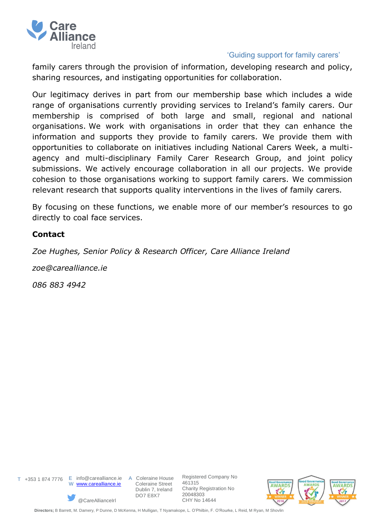

family carers through the provision of information, developing research and policy, sharing resources, and instigating opportunities for collaboration.

Our legitimacy derives in part from our membership base which includes a wide range of organisations currently providing services to Ireland's family carers. Our membership is comprised of both large and small, regional and national organisations. We work with organisations in order that they can enhance the information and supports they provide to family carers. We provide them with opportunities to collaborate on initiatives including National Carers Week, a multiagency and multi-disciplinary Family Carer Research Group, and joint policy submissions. We actively encourage collaboration in all our projects. We provide cohesion to those organisations working to support family carers. We commission relevant research that supports quality interventions in the lives of family carers.

By focusing on these functions, we enable more of our member's resources to go directly to coal face services.

#### **Contact**

*Zoe Hughes, Senior Policy & Research Officer, Care Alliance Ireland* 

*zoe@carealliance.ie*

*086 883 4942*